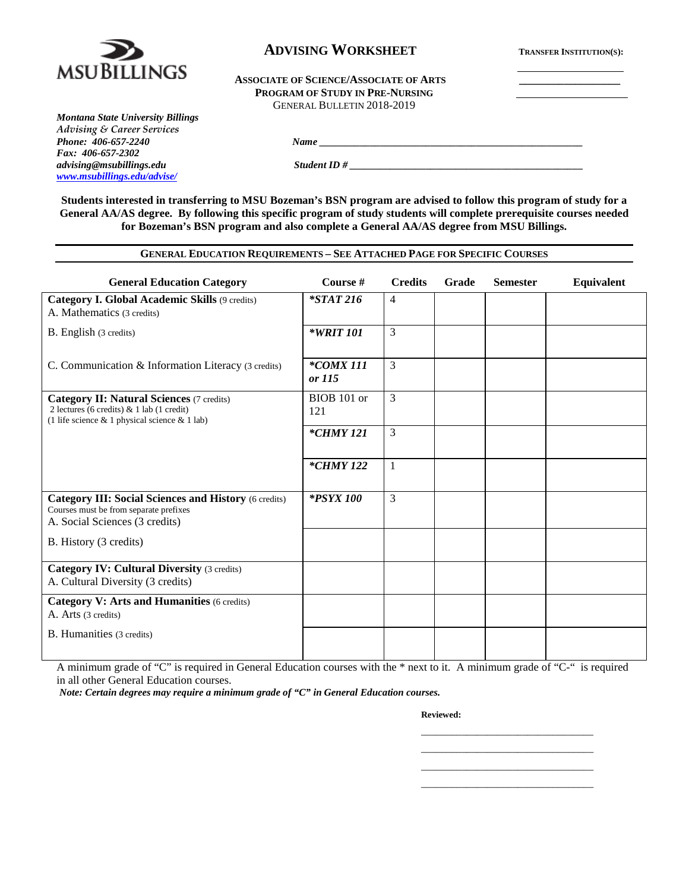

## **ADVISING WORKSHEET TRANSFER INSTITUTION(S):**

#### ASSOCIATE OF SCIENCE/ASSOCIATE OF ARTS **PROGRAM OF STUDY IN PRE-NURSING** GENERAL BULLETIN 2018-2019

*Montana State University Billings Advising & Career Services Fax: 406-657-2302 [www.msubillings.edu/advise/](http://www.msubillings.edu/advise/)*

*advision ID #*  $\overline{S}$ 

**Students interested in transferring to MSU Bozeman's BSN program are advised to follow this program of study for a General AA/AS degree. By following this specific program of study students will complete prerequisite courses needed for Bozeman's BSN program and also complete a General AA/AS degree from MSU Billings.**

*Phone <u>1</u> <i>Phone Phone Phone Phone Phone Phone Phone Phone Phone Phone Phone Phone Phone Phone Phone Phone Phone Phone Phone Phone Phone* 

### **GENERAL EDUCATION REQUIREMENTS – SEE ATTACHED PAGE FOR SPECIFIC COURSES**

| <b>General Education Category</b>                                                                                                                    | Course #                      | <b>Credits</b> | Grade | <b>Semester</b> | Equivalent |
|------------------------------------------------------------------------------------------------------------------------------------------------------|-------------------------------|----------------|-------|-----------------|------------|
| <b>Category I. Global Academic Skills (9 credits)</b><br>A. Mathematics (3 credits)                                                                  | $*STAT216$                    | $\overline{4}$ |       |                 |            |
| B. English (3 credits)                                                                                                                               | *WRIT 101                     | 3              |       |                 |            |
| C. Communication & Information Literacy (3 credits)                                                                                                  | $*$ COMX 111<br><i>or</i> 115 | 3              |       |                 |            |
| <b>Category II: Natural Sciences (7 credits)</b><br>2 lectures (6 credits) $& 1$ lab (1 credit)<br>(1 life science $& 1$ physical science $& 1$ lab) | BIOB 101 or<br>121            | $\overline{3}$ |       |                 |            |
|                                                                                                                                                      | <i>*CHMY 121</i>              | 3              |       |                 |            |
|                                                                                                                                                      | *CHMY 122                     | $\mathbf{1}$   |       |                 |            |
| <b>Category III: Social Sciences and History (6 credits)</b><br>Courses must be from separate prefixes<br>A. Social Sciences (3 credits)             | <i>*PSYX 100</i>              | $\overline{3}$ |       |                 |            |
| B. History (3 credits)                                                                                                                               |                               |                |       |                 |            |
| <b>Category IV: Cultural Diversity (3 credits)</b><br>A. Cultural Diversity (3 credits)                                                              |                               |                |       |                 |            |
| <b>Category V: Arts and Humanities (6 credits)</b><br>A. Arts (3 credits)                                                                            |                               |                |       |                 |            |
| <b>B.</b> Humanities (3 credits)                                                                                                                     |                               |                |       |                 |            |

A minimum grade of "C" is required in General Education courses with the \* next to it. A minimum grade of "C-" is required in all other General Education courses.

*Note: Certain degrees may require a minimum grade of "C" in General Education courses.* 

**Reviewed:**

\_\_\_\_\_\_\_\_\_\_\_\_\_\_\_\_\_\_\_\_\_\_\_\_\_\_\_\_\_\_\_\_\_\_ \_\_\_\_\_\_\_\_\_\_\_\_\_\_\_\_\_\_\_\_\_\_\_\_\_\_\_\_\_\_\_\_\_\_ \_\_\_\_\_\_\_\_\_\_\_\_\_\_\_\_\_\_\_\_\_\_\_\_\_\_\_\_\_\_\_\_\_\_ \_\_\_\_\_\_\_\_\_\_\_\_\_\_\_\_\_\_\_\_\_\_\_\_\_\_\_\_\_\_\_\_\_\_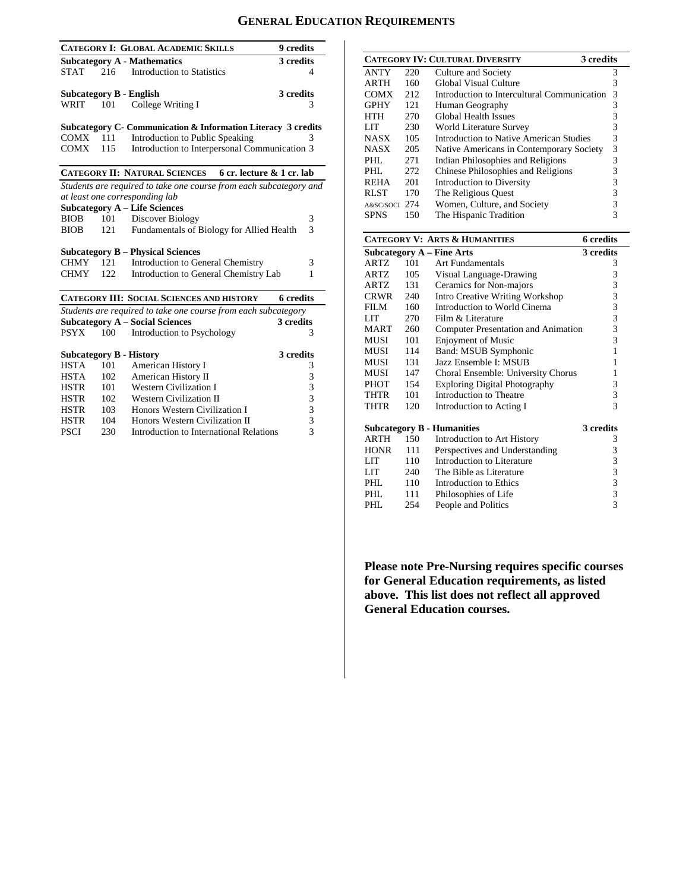# **GENERAL EDUCATION REQUIREMENTS**

|                                |     | <b>CATEGORY I: GLOBAL ACADEMIC SKILLS</b>                          | 9 credits                |
|--------------------------------|-----|--------------------------------------------------------------------|--------------------------|
|                                |     | <b>Subcategory A - Mathematics</b>                                 | 3 credits                |
| <b>STAT</b>                    | 216 | Introduction to Statistics                                         | 4                        |
|                                |     |                                                                    |                          |
| Subcategory B - English        |     |                                                                    | 3 credits                |
| <b>WRIT</b>                    | 101 | College Writing I                                                  | 3                        |
|                                |     |                                                                    |                          |
|                                |     | Subcategory C- Communication & Information Literacy 3 credits      |                          |
| COMX                           | 111 | <b>Introduction to Public Speaking</b>                             | 3                        |
| COMX                           | 115 | Introduction to Interpersonal Communication 3                      |                          |
|                                |     |                                                                    |                          |
|                                |     | <b>CATEGORY II: NATURAL SCIENCES</b><br>6 cr. lecture & 1 cr. lab  |                          |
|                                |     | Students are required to take one course from each subcategory and |                          |
|                                |     | at least one corresponding lab                                     |                          |
|                                |     | <b>Subcategory A - Life Sciences</b>                               |                          |
| <b>BIOB</b>                    | 101 | Discover Biology                                                   | 3                        |
| <b>BIOB</b>                    | 121 | Fundamentals of Biology for Allied Health                          | $\overline{\mathcal{E}}$ |
|                                |     |                                                                    |                          |
|                                |     | <b>Subcategory B - Physical Sciences</b>                           |                          |
| CHMY                           | 121 | Introduction to General Chemistry                                  | 3                        |
| <b>CHMY</b>                    | 122 | Introduction to General Chemistry Lab                              | 1                        |
|                                |     |                                                                    |                          |
|                                |     | <b>CATEGORY III: SOCIAL SCIENCES AND HISTORY</b>                   | 6 credits                |
|                                |     | Students are required to take one course from each subcategory     |                          |
|                                |     | <b>Subcategory A - Social Sciences</b>                             | 3 credits                |
| <b>PSYX</b>                    | 100 | Introduction to Psychology                                         | 3                        |
|                                |     |                                                                    |                          |
| <b>Subcategory B - History</b> |     |                                                                    | 3 credits                |
| <b>HSTA</b>                    | 101 | American History I                                                 | 3                        |
| <b>HSTA</b>                    | 102 | American History II                                                | 3                        |
| <b>HSTR</b>                    | 101 | <b>Western Civilization I</b>                                      | 3                        |
| <b>HSTR</b>                    | 102 | <b>Western Civilization II</b>                                     | 3                        |
| <b>HSTR</b>                    | 103 | Honors Western Civilization I                                      | 3                        |
| <b>HSTR</b>                    | 104 | Honors Western Civilization II                                     | 3                        |
| <b>PSCI</b>                    | 230 | Introduction to International Relations                            | 3                        |
|                                |     |                                                                    |                          |

|             |     | <b>CATEGORY IV: CULTURAL DIVERSITY</b><br>3 credits |   |
|-------------|-----|-----------------------------------------------------|---|
| <b>ANTY</b> | 220 | Culture and Society                                 | 3 |
| <b>ARTH</b> | 160 | Global Visual Culture                               | 3 |
| <b>COMX</b> | 212 | Introduction to Intercultural Communication         | 3 |
| <b>GPHY</b> | 121 | Human Geography                                     | 3 |
| <b>HTH</b>  | 270 | <b>Global Health Issues</b>                         | 3 |
| LIT         | 230 | World Literature Survey                             | 3 |
| <b>NASX</b> | 105 | Introduction to Native American Studies             | 3 |
| <b>NASX</b> | 205 | Native Americans in Contemporary Society            | 3 |
| PHL         | 271 | Indian Philosophies and Religions                   | 3 |
| PHL         | 272 | Chinese Philosophies and Religions                  | 3 |
| <b>REHA</b> | 201 | Introduction to Diversity                           | 3 |
| <b>RLST</b> | 170 | The Religious Quest                                 | 3 |
| A&SC/SOCI   | 274 | Women, Culture, and Society                         | 3 |
| <b>SPNS</b> | 150 | The Hispanic Tradition                              |   |

|             |     | <b>CATEGORY V: ARTS &amp; HUMANITIES</b> | <b>6</b> credits |
|-------------|-----|------------------------------------------|------------------|
|             |     | Subcategory A – Fine Arts                | 3 credits        |
| <b>ARTZ</b> | 101 | Art Fundamentals                         | 3                |
| ARTZ        | 105 | Visual Language-Drawing                  | 3                |
| ARTZ.       | 131 | Ceramics for Non-majors                  | 3                |
| CRWR        | 240 | Intro Creative Writing Workshop          | 3                |
| FILM.       | 160 | Introduction to World Cinema             | 3                |
| LIT         | 270 | Film & Literature                        | 3                |
| <b>MART</b> | 260 | Computer Presentation and Animation      | 3                |
| MUSI        | 101 | <b>Enjoyment of Music</b>                | 3                |
| MUSI        | 114 | Band: MSUB Symphonic                     | $\mathbf{1}$     |
| MUSI        | 131 | Jazz Ensemble I: MSUB                    | 1                |
| MUSI        | 147 | Choral Ensemble: University Chorus       | 1                |
| PHOT        | 154 | <b>Exploring Digital Photography</b>     | 3                |
| THTR        | 101 | Introduction to Theatre                  | 3                |
| THTR        | 120 | Introduction to Acting I                 | 3                |
|             |     | <b>Subcategory B - Humanities</b>        | 3 credits        |
| ARTH        | 150 | Introduction to Art History              | 3                |
| <b>HONR</b> | 111 | Perspectives and Understanding           | 3                |
| LIT         | 110 | Introduction to Literature               | 3                |
| LIT         | 240 | The Bible as Literature                  | 3                |
| PHL.        | 110 | Introduction to Ethics                   | 3                |
| PHL.        | 111 | Philosophies of Life                     | $\overline{3}$   |
| PHL         | 254 | People and Politics                      | $\overline{3}$   |

**Please note Pre-Nursing requires specific courses for General Education requirements, as listed above. This list does not reflect all approved General Education courses.**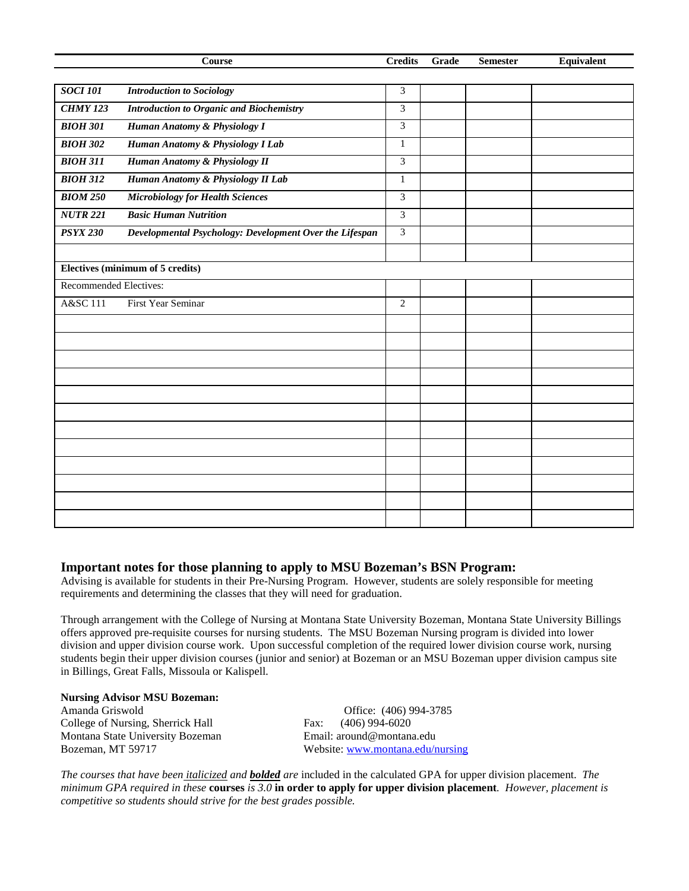|                        | Course                                                  | <b>Credits</b> | Grade | <b>Semester</b> | Equivalent |
|------------------------|---------------------------------------------------------|----------------|-------|-----------------|------------|
|                        |                                                         |                |       |                 |            |
| <b>SOCI 101</b>        | <b>Introduction to Sociology</b>                        | 3              |       |                 |            |
| <b>CHMY 123</b>        | <b>Introduction to Organic and Biochemistry</b>         | 3              |       |                 |            |
| <b>BIOH 301</b>        | Human Anatomy & Physiology I                            | 3              |       |                 |            |
| <b>BIOH 302</b>        | Human Anatomy & Physiology I Lab                        | $\mathbf{1}$   |       |                 |            |
| <b>BIOH 311</b>        | Human Anatomy & Physiology II                           | $\overline{3}$ |       |                 |            |
| <b>BIOH 312</b>        | Human Anatomy & Physiology II Lab                       | $\mathbf{1}$   |       |                 |            |
| <b>BIOM 250</b>        | <b>Microbiology for Health Sciences</b>                 | 3              |       |                 |            |
| <b>NUTR 221</b>        | <b>Basic Human Nutrition</b>                            | 3              |       |                 |            |
| <b>PSYX 230</b>        | Developmental Psychology: Development Over the Lifespan | 3              |       |                 |            |
|                        |                                                         |                |       |                 |            |
|                        | Electives (minimum of 5 credits)                        |                |       |                 |            |
| Recommended Electives: |                                                         |                |       |                 |            |
| A&SC 111               | First Year Seminar                                      | $\overline{2}$ |       |                 |            |
|                        |                                                         |                |       |                 |            |
|                        |                                                         |                |       |                 |            |
|                        |                                                         |                |       |                 |            |
|                        |                                                         |                |       |                 |            |
|                        |                                                         |                |       |                 |            |
|                        |                                                         |                |       |                 |            |
|                        |                                                         |                |       |                 |            |
|                        |                                                         |                |       |                 |            |
|                        |                                                         |                |       |                 |            |
|                        |                                                         |                |       |                 |            |
|                        |                                                         |                |       |                 |            |
|                        |                                                         |                |       |                 |            |

### **Important notes for those planning to apply to MSU Bozeman's BSN Program:**

Advising is available for students in their Pre-Nursing Program. However, students are solely responsible for meeting requirements and determining the classes that they will need for graduation.

Through arrangement with the College of Nursing at Montana State University Bozeman, Montana State University Billings offers approved pre-requisite courses for nursing students. The MSU Bozeman Nursing program is divided into lower division and upper division course work. Upon successful completion of the required lower division course work, nursing students begin their upper division courses (junior and senior) at Bozeman or an MSU Bozeman upper division campus site in Billings, Great Falls, Missoula or Kalispell.

#### **Nursing Advisor MSU Bozeman:**

College of Nursing, Sherrick Hall Fax: Montana State University Bozeman Email: around@montana.edu Bozeman, MT 59717 Website: [www.montana.edu/nursing](http://www.montana.edu/nursing)

Amanda Griswold<br>
College of Nursing, Sherrick Hall<br>
Fax: (406) 994-6020

*The courses that have been italicized and bolded are* included in the calculated GPA for upper division placement. *The minimum GPA required in these* **courses** *is 3.0* **in order to apply for upper division placement***. However, placement is competitive so students should strive for the best grades possible.*